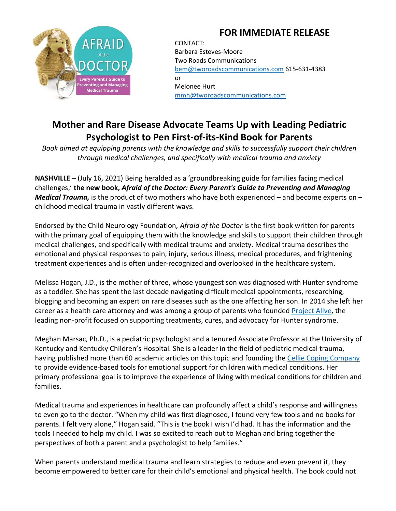## **FOR IMMEDIATE RELEASE**



CONTACT: Barbara Esteves-Moore Two Roads Communications [bem@tworoadscommunications.com](mailto:bem@tworoadscommunications.com) 615-631-4383 or Melonee Hurt [mmh@tworoadscommunications.com](mailto:mmh@tworoadscommunications.com)

## **Mother and Rare Disease Advocate Teams Up with Leading Pediatric Psychologist to Pen First-of-its-Kind Book for Parents**

*Book aimed at equipping parents with the knowledge and skills to successfully support their children through medical challenges, and specifically with medical trauma and anxiety*

**NASHVILLE** – (July 16, 2021) Being heralded as a 'groundbreaking guide for families facing medical challenges,' **the new book,** *Afraid of the Doctor: Every Parent's Guide to Preventing and Managing Medical Trauma,* is the product of two mothers who have both experienced – and become experts on – childhood medical trauma in vastly different ways.

Endorsed by the Child Neurology Foundation, *Afraid of the Doctor* is the first book written for parents with the primary goal of equipping them with the knowledge and skills to support their children through medical challenges, and specifically with medical trauma and anxiety. Medical trauma describes the emotional and physical responses to pain, injury, serious illness, medical procedures, and frightening treatment experiences and is often under-recognized and overlooked in the healthcare system.

Melissa Hogan, J.D., is the mother of three, whose youngest son was diagnosed with Hunter syndrome as a toddler. She has spent the last decade navigating difficult medical appointments, researching, blogging and becoming an expert on rare diseases such as the one affecting her son. In 2014 she left her career as a health care attorney and was among a group of parents who founded [Project Alive,](http://www.projectalive.org/) the leading non-profit focused on supporting treatments, cures, and advocacy for Hunter syndrome.

Meghan Marsac, Ph.D., is a pediatric psychologist and a tenured Associate Professor at the University of Kentucky and Kentucky Children's Hospital. She is a leader in the field of pediatric medical trauma, having published more than 60 academic articles on this topic and founding the [Cellie Coping Company](https://www.celliecopingcompany.com/) to provide evidence-based tools for emotional support for children with medical conditions. Her primary professional goal is to improve the experience of living with medical conditions for children and families.

Medical trauma and experiences in healthcare can profoundly affect a child's response and willingness to even go to the doctor. "When my child was first diagnosed, I found very few tools and no books for parents. I felt very alone," Hogan said. "This is the book I wish I'd had. It has the information and the tools I needed to help my child. I was so excited to reach out to Meghan and bring together the perspectives of both a parent and a psychologist to help families."

When parents understand medical trauma and learn strategies to reduce and even prevent it, they become empowered to better care for their child's emotional and physical health. The book could not